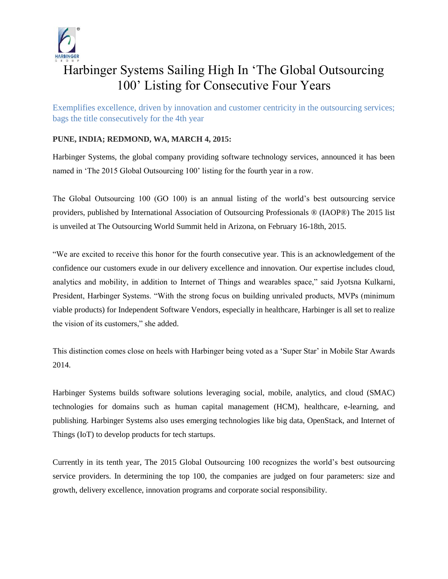

## Harbinger Systems Sailing High In 'The Global Outsourcing 100' Listing for Consecutive Four Years

Exemplifies excellence, driven by innovation and customer centricity in the outsourcing services; bags the title consecutively for the 4th year

## **PUNE, INDIA; REDMOND, WA, MARCH 4, 2015:**

Harbinger Systems, the global company providing software technology services, announced it has been named in 'The 2015 Global Outsourcing 100' listing for the fourth year in a row.

The Global Outsourcing 100 (GO 100) is an annual listing of the world's best outsourcing service providers, published by International Association of Outsourcing Professionals ® (IAOP®) The 2015 list is unveiled at The Outsourcing World Summit held in Arizona, on February 16-18th, 2015.

"We are excited to receive this honor for the fourth consecutive year. This is an acknowledgement of the confidence our customers exude in our delivery excellence and innovation. Our expertise includes cloud, analytics and mobility, in addition to Internet of Things and wearables space," said Jyotsna Kulkarni, President, Harbinger Systems. "With the strong focus on building unrivaled products, MVPs (minimum viable products) for Independent Software Vendors, especially in healthcare, Harbinger is all set to realize the vision of its customers," she added.

This distinction comes close on heels with Harbinger being voted as a 'Super Star' in Mobile Star Awards 2014.

Harbinger Systems builds software solutions leveraging social, mobile, analytics, and cloud (SMAC) technologies for domains such as human capital management (HCM), healthcare, e-learning, and publishing. Harbinger Systems also uses emerging technologies like big data, OpenStack, and Internet of Things (IoT) to develop products for tech startups.

Currently in its tenth year, The 2015 Global Outsourcing 100 recognizes the world's best outsourcing service providers. In determining the top 100, the companies are judged on four parameters: size and growth, delivery excellence, innovation programs and corporate social responsibility.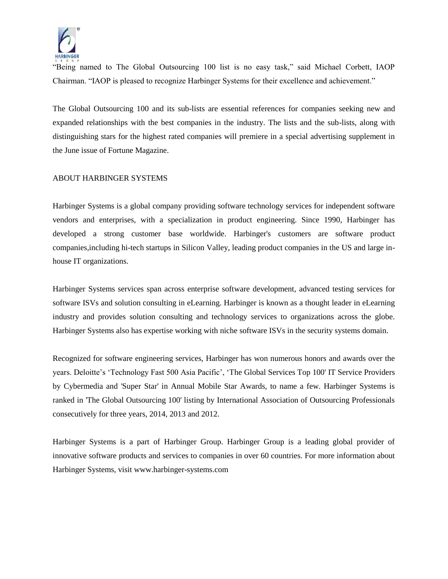

"Being named to The Global Outsourcing 100 list is no easy task," said Michael Corbett, IAOP Chairman. "IAOP is pleased to recognize Harbinger Systems for their excellence and achievement."

The Global Outsourcing 100 and its sub-lists are essential references for companies seeking new and expanded relationships with the best companies in the industry. The lists and the sub-lists, along with distinguishing stars for the highest rated companies will premiere in a special advertising supplement in the June issue of Fortune Magazine.

## ABOUT HARBINGER SYSTEMS

Harbinger Systems is a global company providing software technology services for independent software vendors and enterprises, with a specialization in product engineering. Since 1990, Harbinger has developed a strong customer base worldwide. Harbinger's customers are software product companies,including hi-tech startups in Silicon Valley, leading product companies in the US and large inhouse IT organizations.

Harbinger Systems services span across enterprise software development, advanced testing services for software ISVs and solution consulting in eLearning. Harbinger is known as a thought leader in eLearning industry and provides solution consulting and technology services to organizations across the globe. Harbinger Systems also has expertise working with niche software ISVs in the security systems domain.

Recognized for software engineering services, Harbinger has won numerous honors and awards over the years. Deloitte's 'Technology Fast 500 Asia Pacific', 'The Global Services Top 100' IT Service Providers by Cybermedia and 'Super Star' in Annual Mobile Star Awards, to name a few. Harbinger Systems is ranked in 'The Global Outsourcing 100' listing by International Association of Outsourcing Professionals consecutively for three years, 2014, 2013 and 2012.

Harbinger Systems is a part of Harbinger Group. Harbinger Group is a leading global provider of innovative software products and services to companies in over 60 countries. For more information about Harbinger Systems, visit www.harbinger-systems.com